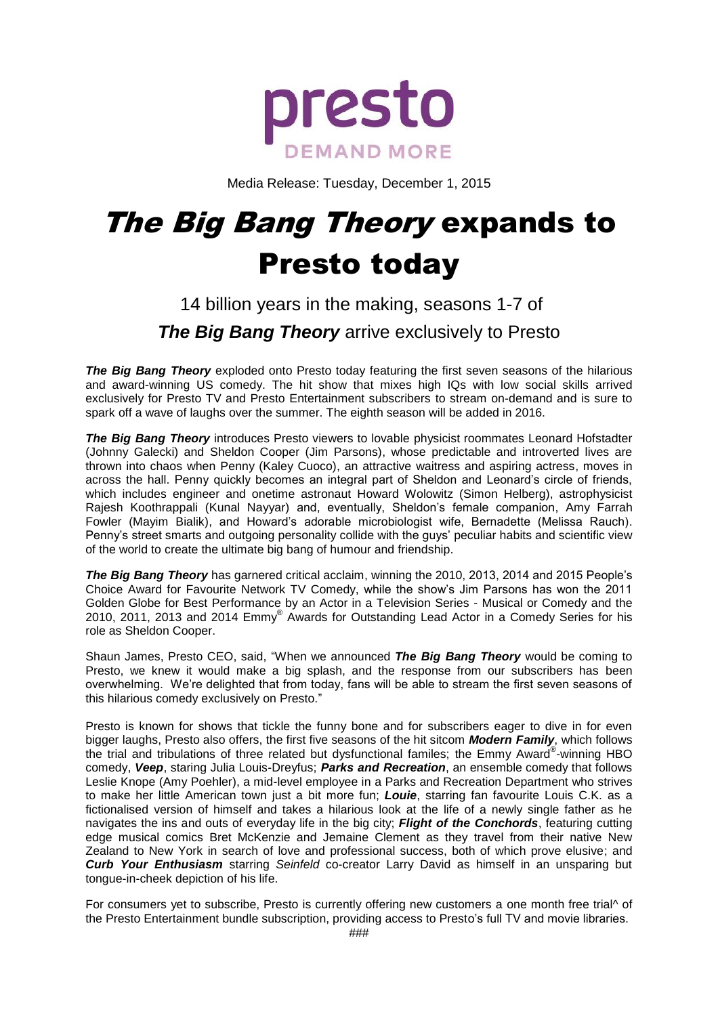

Media Release: Tuesday, December 1, 2015

# The Big Bang Theory expands to Presto today

# 14 billion years in the making, seasons 1-7 of *The Big Bang Theory* arrive exclusively to Presto

*The Big Bang Theory* exploded onto Presto today featuring the first seven seasons of the hilarious and award-winning US comedy. The hit show that mixes high IQs with low social skills arrived exclusively for Presto TV and Presto Entertainment subscribers to stream on-demand and is sure to spark off a wave of laughs over the summer. The eighth season will be added in 2016.

*The Big Bang Theory* introduces Presto viewers to lovable physicist roommates Leonard Hofstadter (Johnny Galecki) and Sheldon Cooper (Jim Parsons), whose predictable and introverted lives are thrown into chaos when Penny (Kaley Cuoco), an attractive waitress and aspiring actress, moves in across the hall. Penny quickly becomes an integral part of Sheldon and Leonard's circle of friends, which includes engineer and onetime astronaut Howard Wolowitz (Simon Helberg), astrophysicist Rajesh Koothrappali (Kunal Nayyar) and, eventually, Sheldon's female companion, Amy Farrah Fowler (Mayim Bialik), and Howard's adorable microbiologist wife, Bernadette (Melissa Rauch). Penny's street smarts and outgoing personality collide with the guys' peculiar habits and scientific view of the world to create the ultimate big bang of humour and friendship.

*The Big Bang Theory* has garnered critical acclaim, winning the 2010, 2013, 2014 and 2015 People's Choice Award for Favourite Network TV Comedy, while the show's Jim Parsons has won the 2011 Golden Globe for Best Performance by an Actor in a Television Series - Musical or Comedy and the 2010, 2011, 2013 and 2014 Emmy® Awards for Outstanding Lead Actor in a Comedy Series for his role as Sheldon Cooper.

Shaun James, Presto CEO, said, "When we announced *The Big Bang Theory* would be coming to Presto, we knew it would make a big splash, and the response from our subscribers has been overwhelming. We're delighted that from today, fans will be able to stream the first seven seasons of this hilarious comedy exclusively on Presto."

Presto is known for shows that tickle the funny bone and for subscribers eager to dive in for even bigger laughs, Presto also offers, the first five seasons of the hit sitcom *Modern Family*, which follows the trial and tribulations of three related but dysfunctional familes; the Emmy Award®-winning HBO comedy, *Veep*, staring Julia Louis-Dreyfus; *Parks and Recreation*, an ensemble comedy that follows Leslie Knope (Amy Poehler), a mid-level employee in a Parks and Recreation Department who strives to make her little American town just a bit more fun; *Louie*, starring fan favourite Louis C.K. as a fictionalised version of himself and takes a hilarious look at the life of a newly single father as he navigates the ins and outs of everyday life in the big city; *Flight of the Conchords*, featuring cutting edge musical comics Bret McKenzie and Jemaine Clement as they travel from their native New Zealand to New York in search of love and professional success, both of which prove elusive; and *Curb Your Enthusiasm* starring *Seinfeld* co-creator Larry David as himself in an unsparing but tongue-in-cheek depiction of his life.

For consumers yet to subscribe, Presto is currently offering new customers a one month free trial^ of the Presto Entertainment bundle subscription, providing access to Presto's full TV and movie libraries.